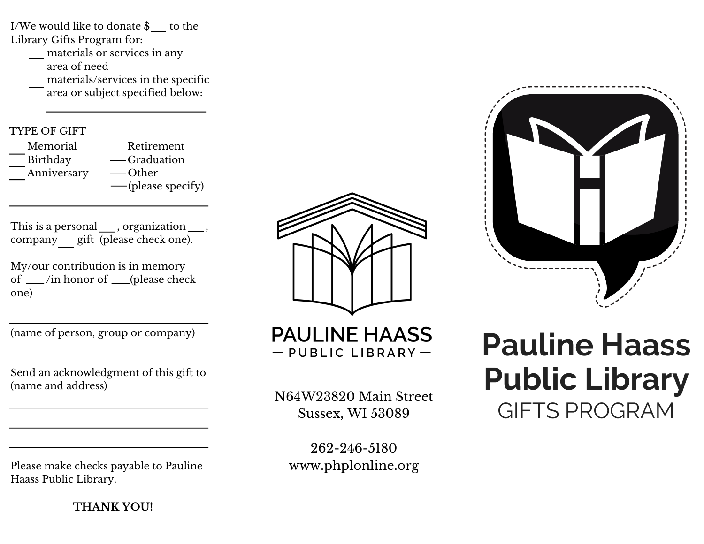I/We would like to donate  $\$\$ to the Library Gifts Program for:

materials or services in any area of need materials/services in the specific area or subject specified below:

#### TYPE OF GIFT

| Memorial    | Retirement         |
|-------------|--------------------|
| Birthday    | — Graduation       |
| Anniversary | — Other            |
|             | — (please specify) |

This is a personal \_\_\_, organization \_\_\_, company gift (please check one).

My/our contribution is in memory of  $\_\$ in honor of  $\_\$ (please check one)

(name of person, group or company)

Send an acknowledgment of this gift to (name and address)

Please make checks payable to Pauline Haass Public Library.

**THANK YOU!**



**PAULINE HAASS**  $-$  PUBLIC LIBRARY  $-$ 

N64W23820 Main Street Sussex, WI 53089

262-246-5180 www.phplonline.org

# **Pauline Haass Public Library** GIFTS PROGRAM